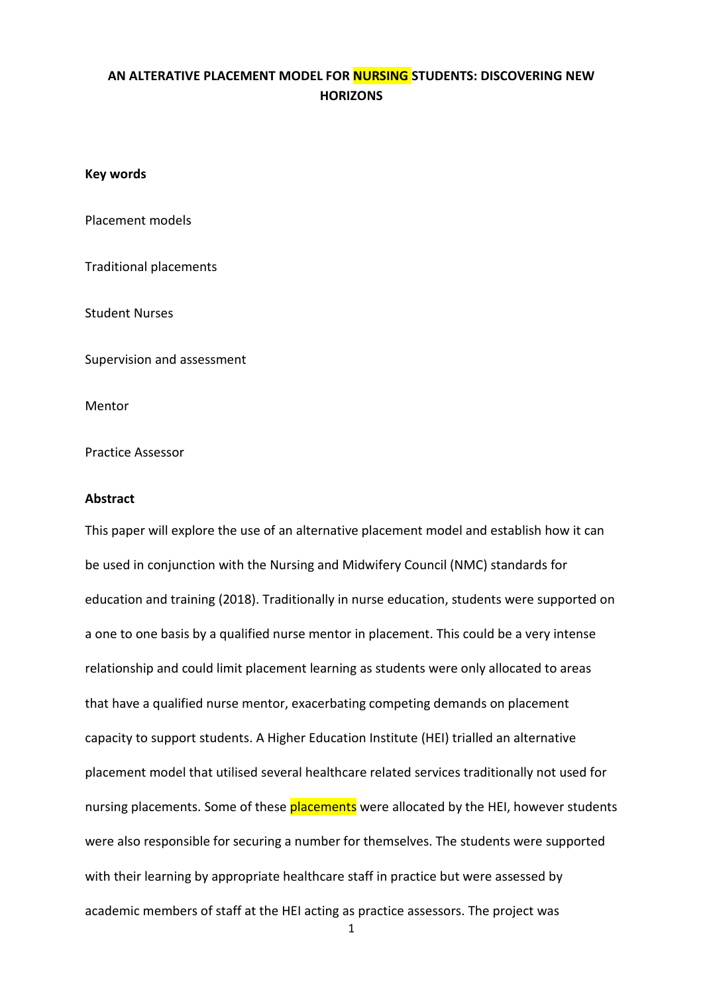# **AN ALTERATIVE PLACEMENT MODEL FOR NURSING STUDENTS: DISCOVERING NEW HORIZONS**

### **Key words**

Placement models

Traditional placements

Student Nurses

Supervision and assessment

Mentor

Practice Assessor

### **Abstract**

This paper will explore the use of an alternative placement model and establish how it can be used in conjunction with the Nursing and Midwifery Council (NMC) standards for education and training (2018). Traditionally in nurse education, students were supported on a one to one basis by a qualified nurse mentor in placement. This could be a very intense relationship and could limit placement learning as students were only allocated to areas that have a qualified nurse mentor, exacerbating competing demands on placement capacity to support students. A Higher Education Institute (HEI) trialled an alternative placement model that utilised several healthcare related services traditionally not used for nursing placements. Some of these **placements** were allocated by the HEI, however students were also responsible for securing a number for themselves. The students were supported with their learning by appropriate healthcare staff in practice but were assessed by academic members of staff at the HEI acting as practice assessors. The project was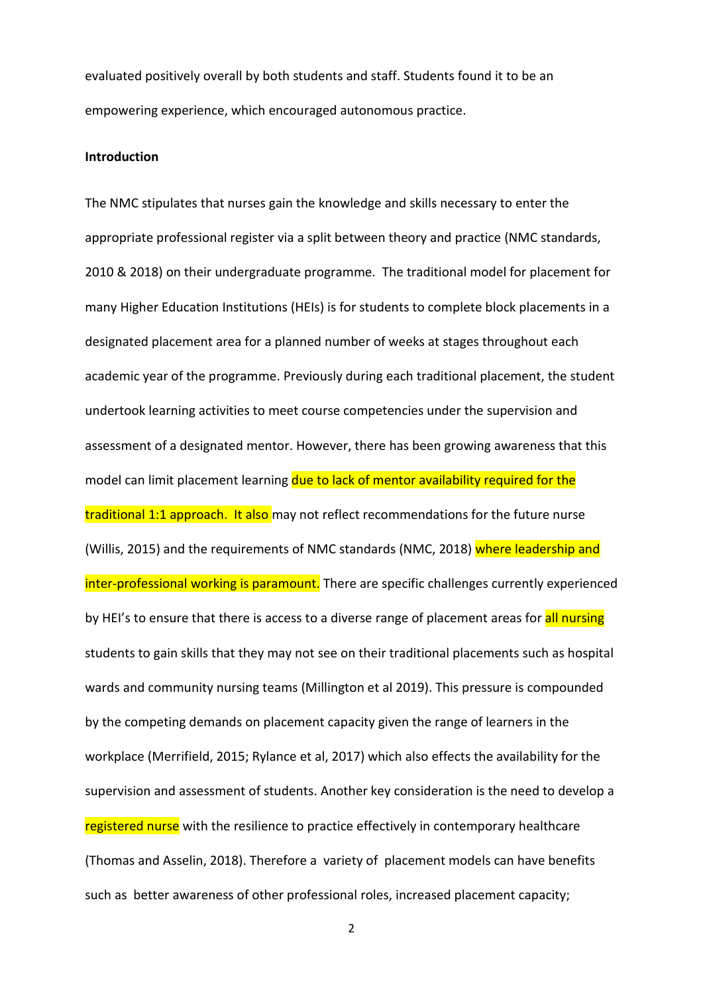evaluated positively overall by both students and staff. Students found it to be an empowering experience, which encouraged autonomous practice.

### **Introduction**

The NMC stipulates that nurses gain the knowledge and skills necessary to enter the appropriate professional register via a split between theory and practice (NMC standards, 2010 & 2018) on their undergraduate programme. The traditional model for placement for many Higher Education Institutions (HEIs) is for students to complete block placements in a designated placement area for a planned number of weeks at stages throughout each academic year of the programme. Previously during each traditional placement, the student undertook learning activities to meet course competencies under the supervision and assessment of a designated mentor. However, there has been growing awareness that this model can limit placement learning due to lack of mentor availability required for the traditional 1:1 approach. It also may not reflect recommendations for the future nurse (Willis, 2015) and the requirements of NMC standards (NMC, 2018) where leadership and inter-professional working is paramount. There are specific challenges currently experienced by HEI's to ensure that there is access to a diverse range of placement areas for all nursing students to gain skills that they may not see on their traditional placements such as hospital wards and community nursing teams (Millington et al 2019). This pressure is compounded by the competing demands on placement capacity given the range of learners in the workplace (Merrifield, 2015; Rylance et al, 2017) which also effects the availability for the supervision and assessment of students. Another key consideration is the need to develop a registered nurse with the resilience to practice effectively in contemporary healthcare (Thomas and Asselin, 2018). Therefore a variety of placement models can have benefits such as better awareness of other professional roles, increased placement capacity;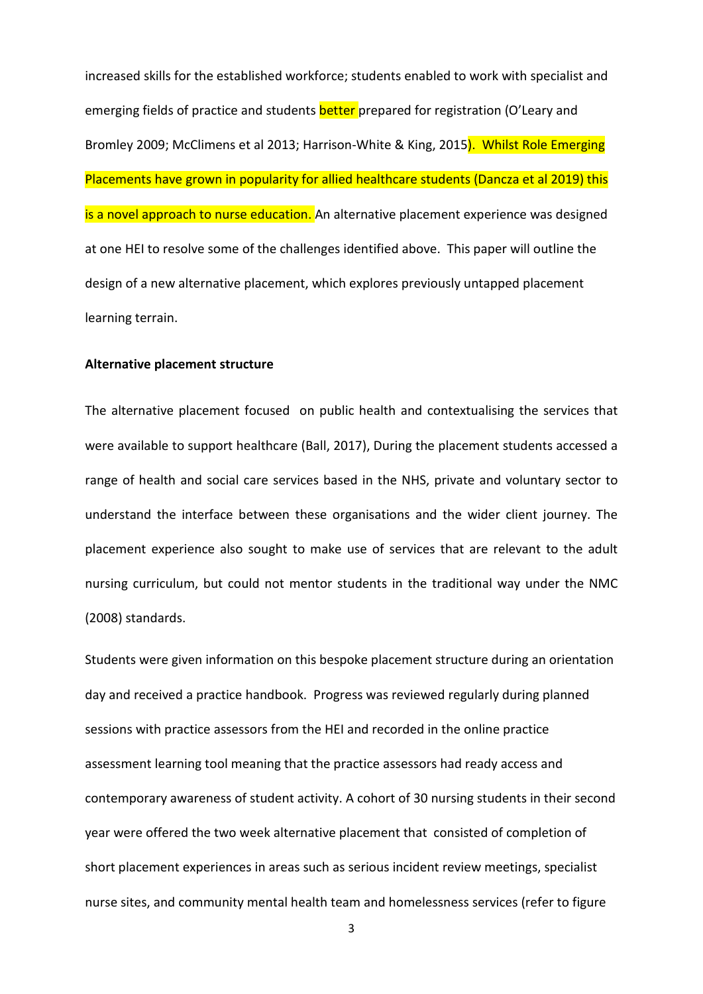increased skills for the established workforce; students enabled to work with specialist and emerging fields of practice and students **better** prepared for registration (O'Leary and Bromley 2009; McClimens et al 2013; Harrison-White & King, 2015). Whilst Role Emerging Placements have grown in popularity for allied healthcare students (Dancza et al 2019) this is a novel approach to nurse education. An alternative placement experience was designed at one HEI to resolve some of the challenges identified above. This paper will outline the design of a new alternative placement, which explores previously untapped placement learning terrain.

#### **Alternative placement structure**

The alternative placement focused on public health and contextualising the services that were available to support healthcare (Ball, 2017), During the placement students accessed a range of health and social care services based in the NHS, private and voluntary sector to understand the interface between these organisations and the wider client journey. The placement experience also sought to make use of services that are relevant to the adult nursing curriculum, but could not mentor students in the traditional way under the NMC (2008) standards.

Students were given information on this bespoke placement structure during an orientation day and received a practice handbook. Progress was reviewed regularly during planned sessions with practice assessors from the HEI and recorded in the online practice assessment learning tool meaning that the practice assessors had ready access and contemporary awareness of student activity. A cohort of 30 nursing students in their second year were offered the two week alternative placement that consisted of completion of short placement experiences in areas such as serious incident review meetings, specialist nurse sites, and community mental health team and homelessness services (refer to figure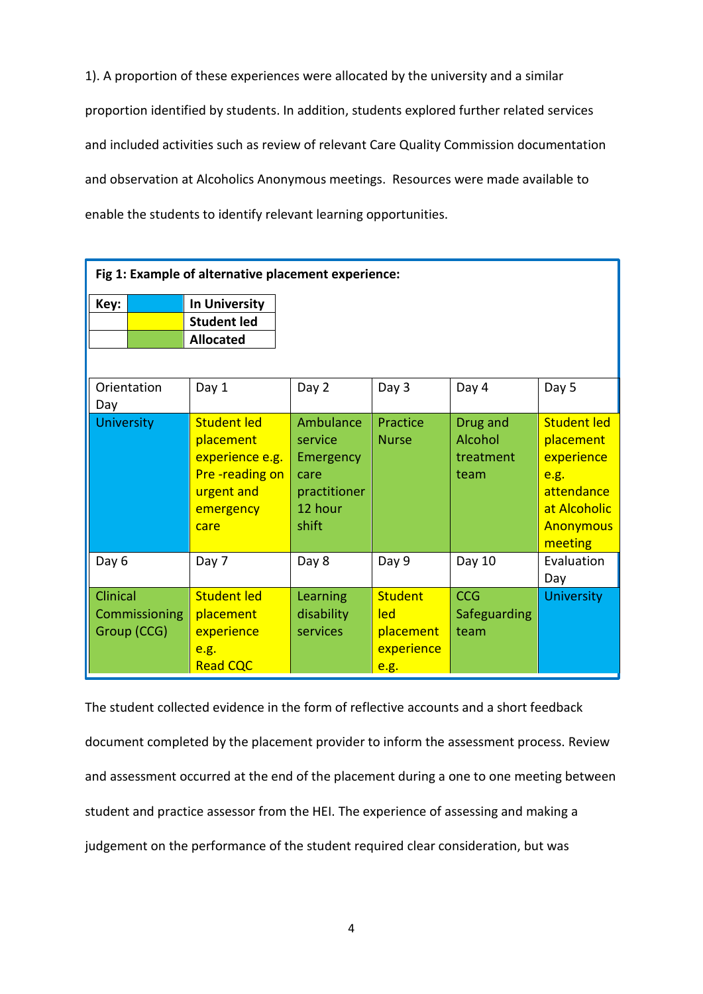1). A proportion of these experiences were allocated by the university and a similar proportion identified by students. In addition, students explored further related services and included activities such as review of relevant Care Quality Commission documentation and observation at Alcoholics Anonymous meetings. Resources were made available to enable the students to identify relevant learning opportunities.

| Fig 1: Example of alternative placement experience: |                                                                                                         |                                                                               |                                                          |                                          |                                                                                                                    |
|-----------------------------------------------------|---------------------------------------------------------------------------------------------------------|-------------------------------------------------------------------------------|----------------------------------------------------------|------------------------------------------|--------------------------------------------------------------------------------------------------------------------|
| Key:                                                | <b>In University</b><br><b>Student led</b><br><b>Allocated</b>                                          |                                                                               |                                                          |                                          |                                                                                                                    |
| Orientation<br>Day                                  | Day 1                                                                                                   | Day 2                                                                         | Day 3                                                    | Day 4                                    | Day 5                                                                                                              |
| <b>University</b>                                   | <b>Student led</b><br>placement<br>experience e.g.<br>Pre-reading on<br>urgent and<br>emergency<br>care | Ambulance<br>service<br>Emergency<br>care<br>practitioner<br>12 hour<br>shift | Practice<br><b>Nurse</b>                                 | Drug and<br>Alcohol<br>treatment<br>team | <b>Student led</b><br>placement<br>experience<br>e.g.<br>attendance<br>at Alcoholic<br><b>Anonymous</b><br>meeting |
| Day 6                                               | Day 7                                                                                                   | Day 8                                                                         | Day 9                                                    | Day 10                                   | Evaluation<br>Day                                                                                                  |
| Clinical<br>Commissioning<br>Group (CCG)            | <b>Student led</b><br>placement<br>experience<br>e.g.<br><b>Read CQC</b>                                | Learning<br>disability<br>services                                            | <b>Student</b><br>led<br>placement<br>experience<br>e.g. | <b>CCG</b><br>Safeguarding<br>team       | <b>University</b>                                                                                                  |

The student collected evidence in the form of reflective accounts and a short feedback document completed by the placement provider to inform the assessment process. Review and assessment occurred at the end of the placement during a one to one meeting between student and practice assessor from the HEI. The experience of assessing and making a judgement on the performance of the student required clear consideration, but was Ĩ.

Ī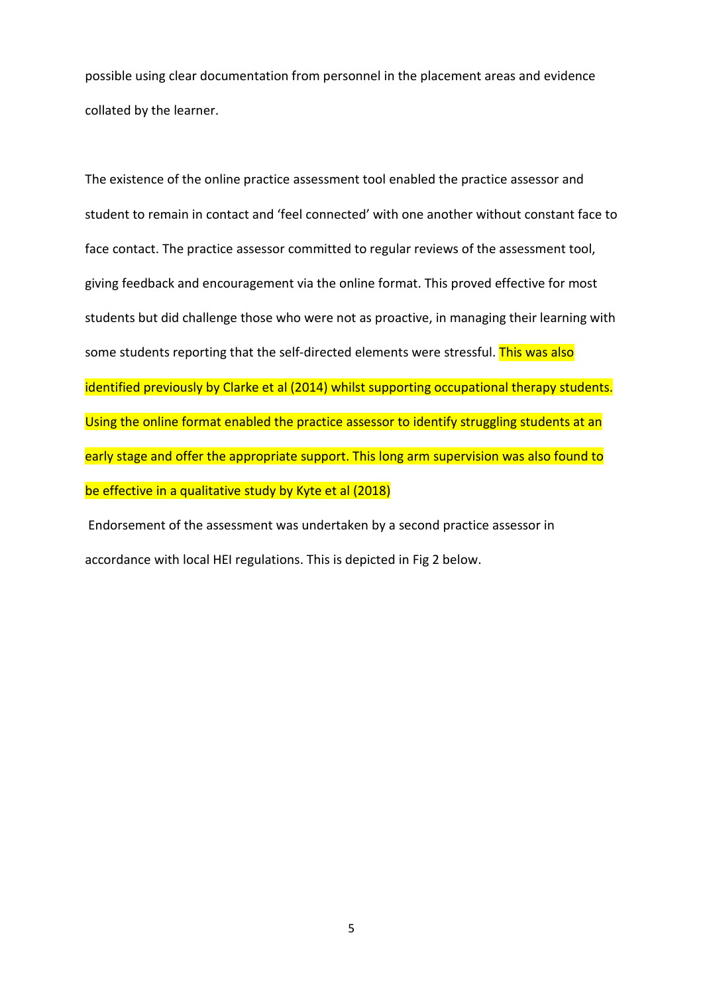possible using clear documentation from personnel in the placement areas and evidence collated by the learner.

The existence of the online practice assessment tool enabled the practice assessor and student to remain in contact and 'feel connected' with one another without constant face to face contact. The practice assessor committed to regular reviews of the assessment tool, giving feedback and encouragement via the online format. This proved effective for most students but did challenge those who were not as proactive, in managing their learning with some students reporting that the self-directed elements were stressful. This was also identified previously by Clarke et al (2014) whilst supporting occupational therapy students. Using the online format enabled the practice assessor to identify struggling students at an early stage and offer the appropriate support. This long arm supervision was also found to be effective in a qualitative study by Kyte et al (2018)

Endorsement of the assessment was undertaken by a second practice assessor in accordance with local HEI regulations. This is depicted in Fig 2 below.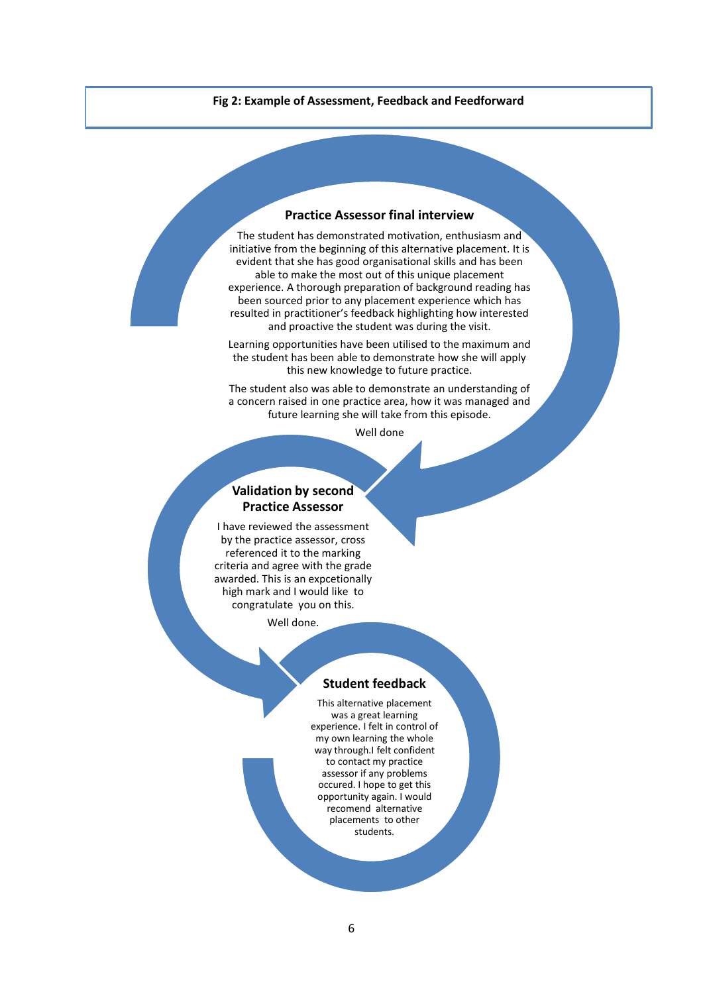**Fig 2: Example of Assessment, Feedback and Feedforward**

### **Practice Assessor final interview**

The student has demonstrated motivation, enthusiasm and initiative from the beginning of this alternative placement. It is evident that she has good organisational skills and has been able to make the most out of this unique placement experience. A thorough preparation of background reading has been sourced prior to any placement experience which has resulted in practitioner's feedback highlighting how interested and proactive the student was during the visit.

Learning opportunities have been utilised to the maximum and the student has been able to demonstrate how she will apply this new knowledge to future practice.

The student also was able to demonstrate an understanding of a concern raised in one practice area, how it was managed and future learning she will take from this episode.

Well done

### **Validation by second Practice Assessor**

I have reviewed the assessment by the practice assessor, cross referenced it to the marking criteria and agree with the grade awarded. This is an expcetionally high mark and I would like to congratulate you on this.

Well done.

#### **Student feedback**

This alternative placement was a great learning experience. I felt in control of my own learning the whole way through.I felt confident to contact my practice assessor if any problems occured. I hope to get this opportunity again. I would recomend alternative placements to other students.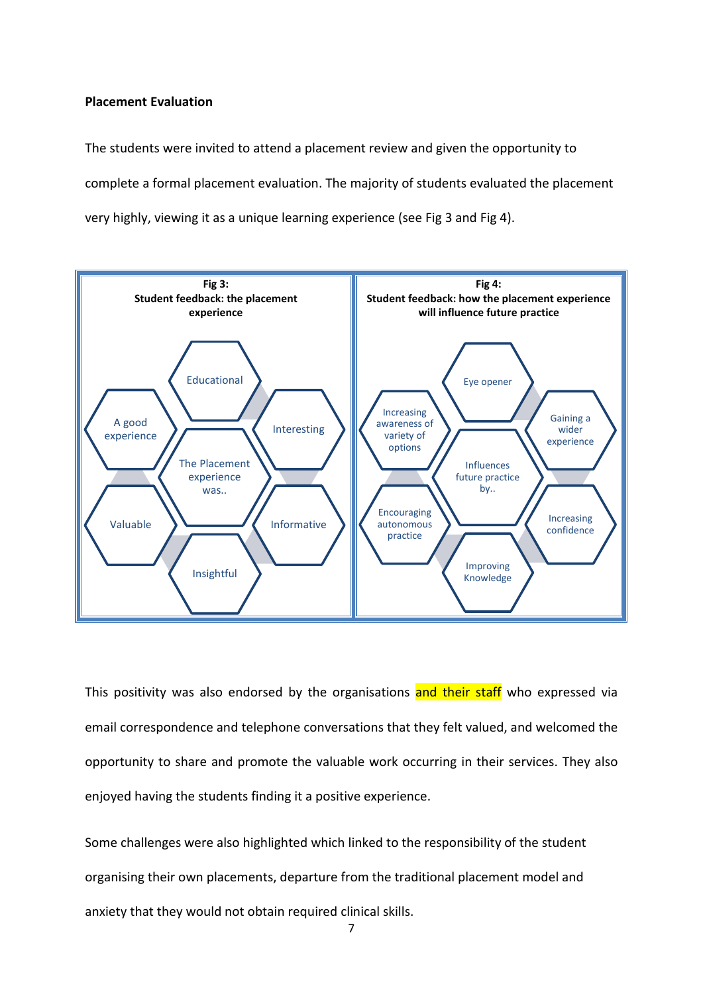### **Placement Evaluation**

The students were invited to attend a placement review and given the opportunity to complete a formal placement evaluation. The majority of students evaluated the placement very highly, viewing it as a unique learning experience (see Fig 3 and Fig 4).



This positivity was also endorsed by the organisations and their staff who expressed via email correspondence and telephone conversations that they felt valued, and welcomed the opportunity to share and promote the valuable work occurring in their services. They also enjoyed having the students finding it a positive experience.

Some challenges were also highlighted which linked to the responsibility of the student organising their own placements, departure from the traditional placement model and anxiety that they would not obtain required clinical skills.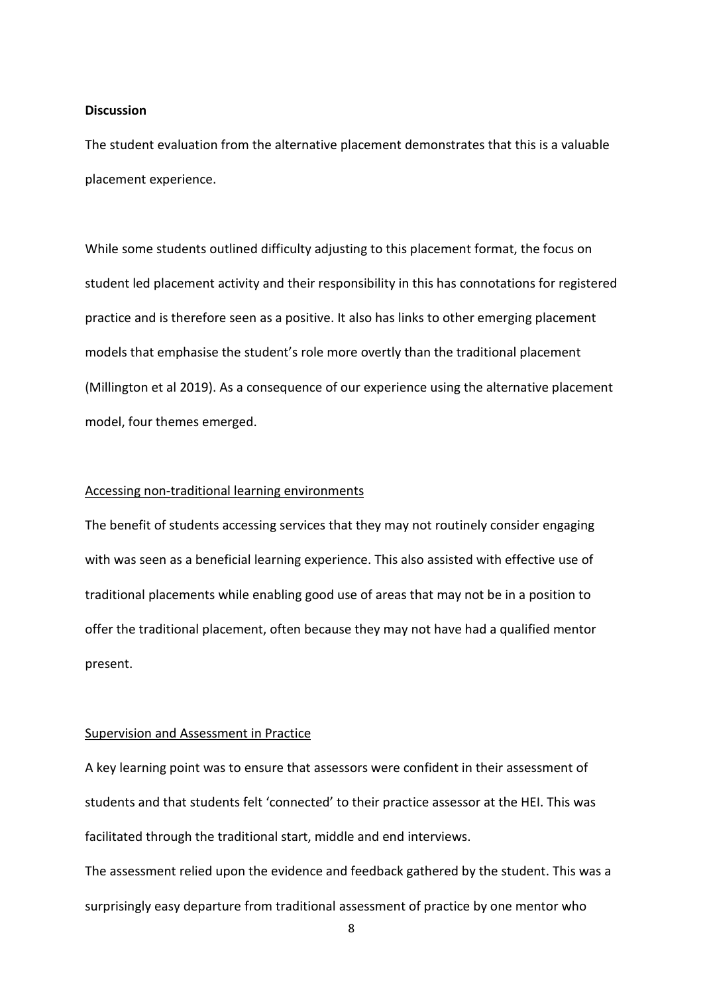### **Discussion**

The student evaluation from the alternative placement demonstrates that this is a valuable placement experience.

While some students outlined difficulty adjusting to this placement format, the focus on student led placement activity and their responsibility in this has connotations for registered practice and is therefore seen as a positive. It also has links to other emerging placement models that emphasise the student's role more overtly than the traditional placement (Millington et al 2019). As a consequence of our experience using the alternative placement model, four themes emerged.

### Accessing non-traditional learning environments

The benefit of students accessing services that they may not routinely consider engaging with was seen as a beneficial learning experience. This also assisted with effective use of traditional placements while enabling good use of areas that may not be in a position to offer the traditional placement, often because they may not have had a qualified mentor present.

### Supervision and Assessment in Practice

A key learning point was to ensure that assessors were confident in their assessment of students and that students felt 'connected' to their practice assessor at the HEI. This was facilitated through the traditional start, middle and end interviews.

The assessment relied upon the evidence and feedback gathered by the student. This was a surprisingly easy departure from traditional assessment of practice by one mentor who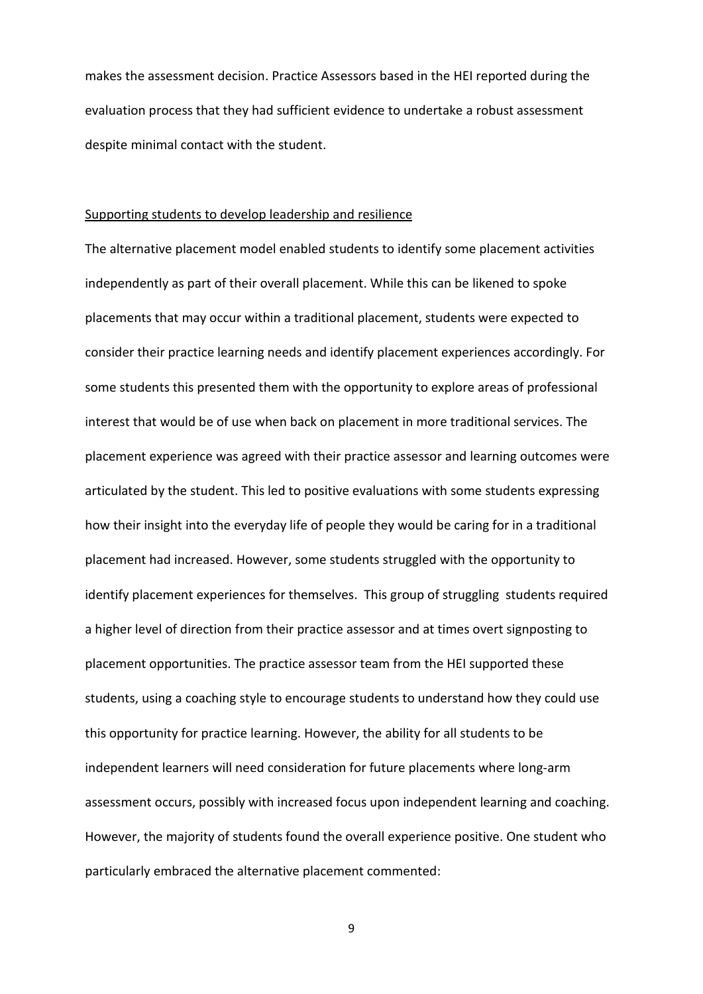makes the assessment decision. Practice Assessors based in the HEI reported during the evaluation process that they had sufficient evidence to undertake a robust assessment despite minimal contact with the student.

### Supporting students to develop leadership and resilience

The alternative placement model enabled students to identify some placement activities independently as part of their overall placement. While this can be likened to spoke placements that may occur within a traditional placement, students were expected to consider their practice learning needs and identify placement experiences accordingly. For some students this presented them with the opportunity to explore areas of professional interest that would be of use when back on placement in more traditional services. The placement experience was agreed with their practice assessor and learning outcomes were articulated by the student. This led to positive evaluations with some students expressing how their insight into the everyday life of people they would be caring for in a traditional placement had increased. However, some students struggled with the opportunity to identify placement experiences for themselves. This group of struggling students required a higher level of direction from their practice assessor and at times overt signposting to placement opportunities. The practice assessor team from the HEI supported these students, using a coaching style to encourage students to understand how they could use this opportunity for practice learning. However, the ability for all students to be independent learners will need consideration for future placements where long-arm assessment occurs, possibly with increased focus upon independent learning and coaching. However, the majority of students found the overall experience positive. One student who particularly embraced the alternative placement commented: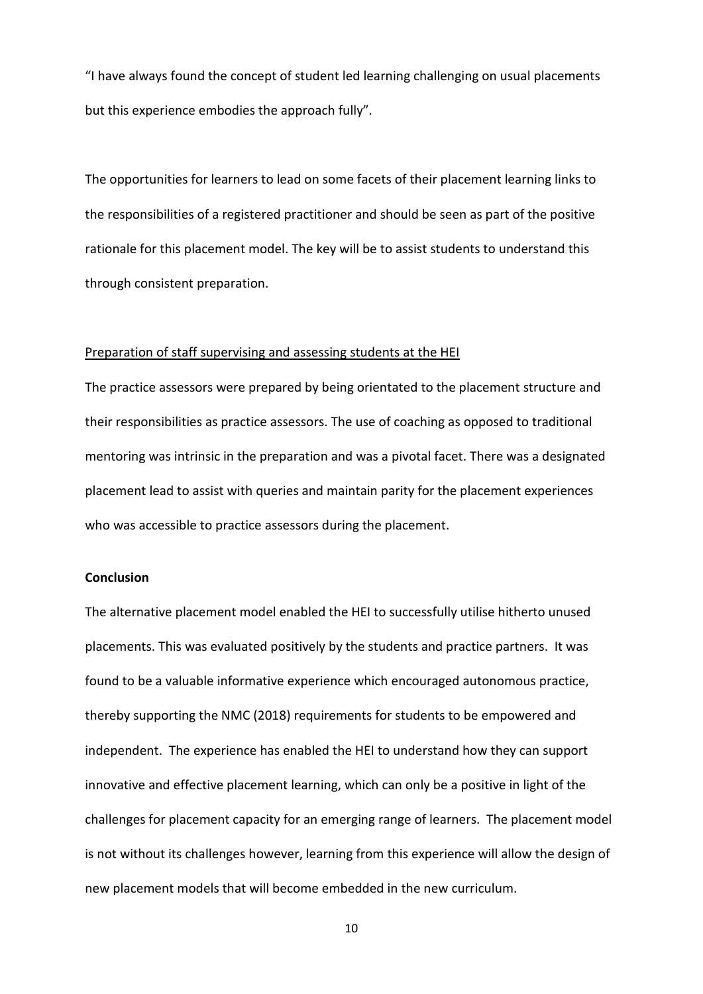"I have always found the concept of student led learning challenging on usual placements but this experience embodies the approach fully".

The opportunities for learners to lead on some facets of their placement learning links to the responsibilities of a registered practitioner and should be seen as part of the positive rationale for this placement model. The key will be to assist students to understand this through consistent preparation.

### Preparation of staff supervising and assessing students at the HEI

The practice assessors were prepared by being orientated to the placement structure and their responsibilities as practice assessors. The use of coaching as opposed to traditional mentoring was intrinsic in the preparation and was a pivotal facet. There was a designated placement lead to assist with queries and maintain parity for the placement experiences who was accessible to practice assessors during the placement.

## **Conclusion**

The alternative placement model enabled the HEI to successfully utilise hitherto unused placements. This was evaluated positively by the students and practice partners. It was found to be a valuable informative experience which encouraged autonomous practice, thereby supporting the NMC (2018) requirements for students to be empowered and independent. The experience has enabled the HEI to understand how they can support innovative and effective placement learning, which can only be a positive in light of the challenges for placement capacity for an emerging range of learners. The placement model is not without its challenges however, learning from this experience will allow the design of new placement models that will become embedded in the new curriculum.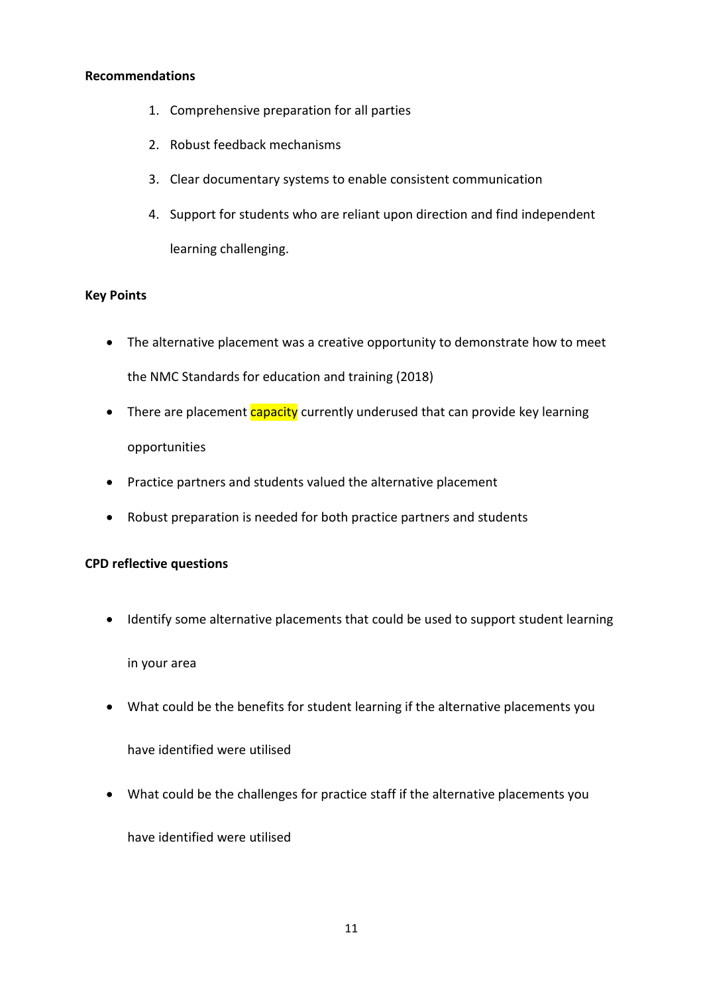## **Recommendations**

- 1. Comprehensive preparation for all parties
- 2. Robust feedback mechanisms
- 3. Clear documentary systems to enable consistent communication
- 4. Support for students who are reliant upon direction and find independent learning challenging.

# **Key Points**

- The alternative placement was a creative opportunity to demonstrate how to meet the NMC Standards for education and training (2018)
- There are placement capacity currently underused that can provide key learning opportunities
- Practice partners and students valued the alternative placement
- Robust preparation is needed for both practice partners and students

# **CPD reflective questions**

• Identify some alternative placements that could be used to support student learning

in your area

• What could be the benefits for student learning if the alternative placements you

have identified were utilised

• What could be the challenges for practice staff if the alternative placements you

have identified were utilised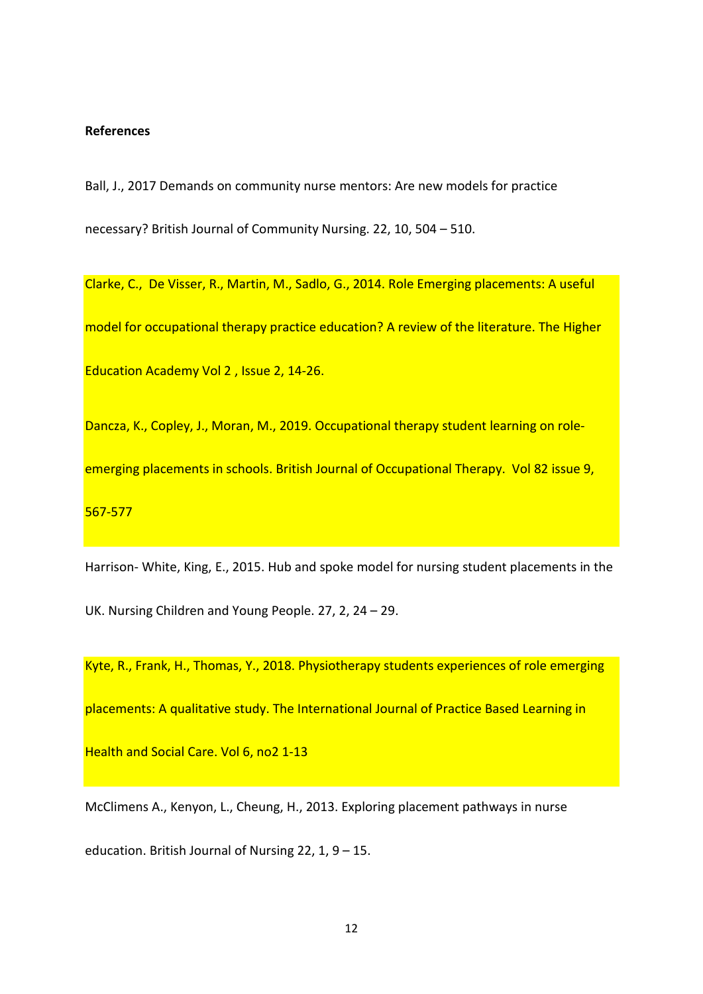### **References**

Ball, J., 2017 Demands on community nurse mentors: Are new models for practice necessary? British Journal of Community Nursing. 22, 10, 504 – 510.

Clarke, C., De Visser, R., Martin, M., Sadlo, G., 2014. Role Emerging placements: A useful model for occupational therapy practice education? A review of the literature. The Higher Education Academy Vol 2 , Issue 2, 14-26.

Dancza, K., Copley, J., Moran, M., 2019. Occupational therapy student learning on roleemerging placements in schools. British Journal of Occupational Therapy. Vol 82 issue 9, 567-577

Harrison- White, King, E., 2015. Hub and spoke model for nursing student placements in the UK. Nursing Children and Young People. 27, 2, 24 – 29.

Kyte, R., Frank, H., Thomas, Y., 2018. Physiotherapy students experiences of role emerging placements: A qualitative study. The International Journal of Practice Based Learning in Health and Social Care. Vol 6, no2 1-13

McClimens A., Kenyon, L., Cheung, H., 2013. Exploring placement pathways in nurse

education. British Journal of Nursing 22, 1, 9 – 15.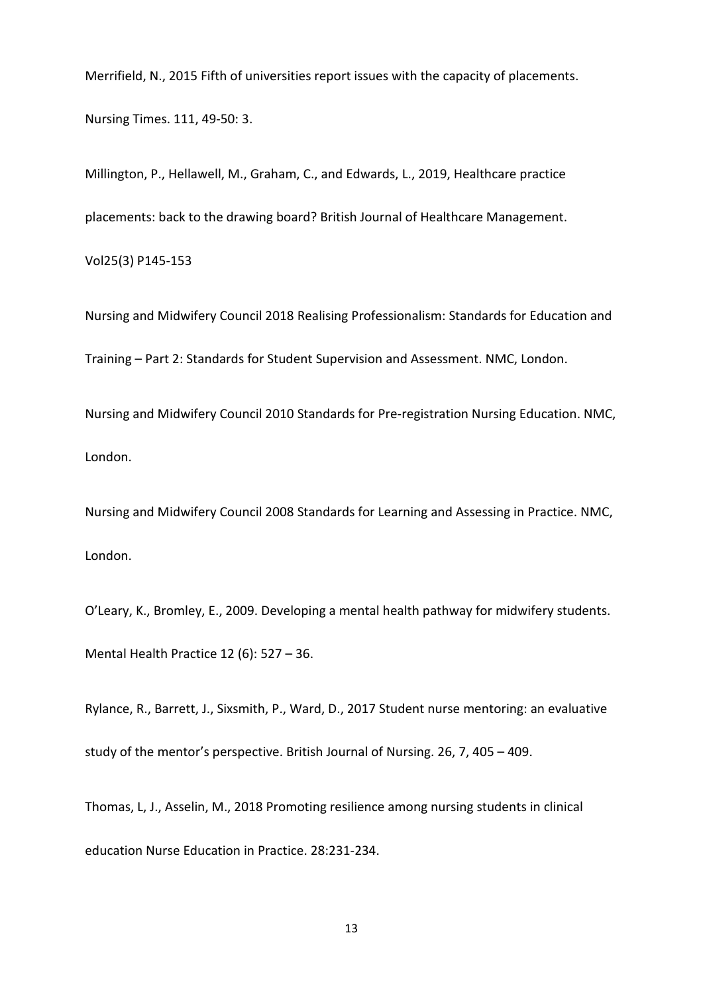Merrifield, N., 2015 Fifth of universities report issues with the capacity of placements.

Nursing Times. 111, 49-50: 3.

Millington, P., Hellawell, M., Graham, C., and Edwards, L., 2019, Healthcare practice placements: back to the drawing board? British Journal of Healthcare Management. Vol25(3) P145-153

Nursing and Midwifery Council 2018 Realising Professionalism: Standards for Education and Training – Part 2: Standards for Student Supervision and Assessment. NMC, London.

Nursing and Midwifery Council 2010 Standards for Pre-registration Nursing Education. NMC, London.

Nursing and Midwifery Council 2008 Standards for Learning and Assessing in Practice. NMC, London.

O'Leary, K., Bromley, E., 2009. Developing a mental health pathway for midwifery students. Mental Health Practice 12 (6): 527 – 36.

Rylance, R., Barrett, J., Sixsmith, P., Ward, D., 2017 Student nurse mentoring: an evaluative study of the mentor's perspective. British Journal of Nursing. 26, 7, 405 – 409.

Thomas, L, J., Asselin, M., 2018 Promoting resilience among nursing students in clinical education Nurse Education in Practice. 28:231-234.